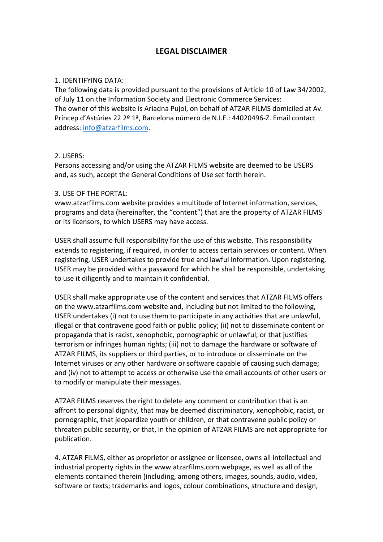## **LEGAL DISCLAIMER**

## 1. IDENTIFYING DATA:

The following data is provided pursuant to the provisions of Article 10 of Law 34/2002. of July 11 on the Information Society and Electronic Commerce Services: The owner of this website is Ariadna Pujol, on behalf of ATZAR FILMS domiciled at Av. Príncep d'Astúries 22 2º 1ª, Barcelona número de N.I.F.: 44020496-Z. Email contact address: info@atzarfilms.com.

## 2. USERS:

Persons accessing and/or using the ATZAR FILMS website are deemed to be USERS and, as such, accept the General Conditions of Use set forth herein.

## 3. USE OF THE PORTAL:

www.atzarfilms.com website provides a multitude of Internet information, services, programs and data (hereinafter, the "content") that are the property of ATZAR FILMS or its licensors, to which USERS may have access.

USER shall assume full responsibility for the use of this website. This responsibility extends to registering, if required, in order to access certain services or content. When registering, USER undertakes to provide true and lawful information. Upon registering, USER may be provided with a password for which he shall be responsible, undertaking to use it diligently and to maintain it confidential.

USER shall make appropriate use of the content and services that ATZAR FILMS offers on the www.atzarfilms.com website and, including but not limited to the following, USER undertakes (i) not to use them to participate in any activities that are unlawful, illegal or that contravene good faith or public policy; (ii) not to disseminate content or propaganda that is racist, xenophobic, pornographic or unlawful, or that justifies terrorism or infringes human rights; (iii) not to damage the hardware or software of ATZAR FILMS, its suppliers or third parties, or to introduce or disseminate on the Internet viruses or any other hardware or software capable of causing such damage; and (iv) not to attempt to access or otherwise use the email accounts of other users or to modify or manipulate their messages.

ATZAR FILMS reserves the right to delete any comment or contribution that is an affront to personal dignity, that may be deemed discriminatory, xenophobic, racist, or pornographic, that jeopardize youth or children, or that contravene public policy or threaten public security, or that, in the opinion of ATZAR FILMS are not appropriate for publication.

4. ATZAR FILMS, either as proprietor or assignee or licensee, owns all intellectual and industrial property rights in the www.atzarfilms.com webpage, as well as all of the elements contained therein (including, among others, images, sounds, audio, video, software or texts; trademarks and logos, colour combinations, structure and design,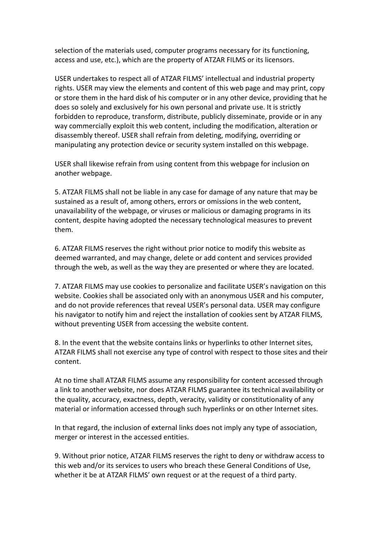selection of the materials used, computer programs necessary for its functioning, access and use, etc.), which are the property of ATZAR FILMS or its licensors.

USER undertakes to respect all of ATZAR FILMS' intellectual and industrial property rights. USER may view the elements and content of this web page and may print, copy or store them in the hard disk of his computer or in any other device, providing that he does so solely and exclusively for his own personal and private use. It is strictly forbidden to reproduce, transform, distribute, publicly disseminate, provide or in any way commercially exploit this web content, including the modification, alteration or disassembly thereof. USER shall refrain from deleting, modifying, overriding or manipulating any protection device or security system installed on this webpage.

USER shall likewise refrain from using content from this webpage for inclusion on another webpage.

5. ATZAR FILMS shall not be liable in any case for damage of any nature that may be sustained as a result of, among others, errors or omissions in the web content, unavailability of the webpage, or viruses or malicious or damaging programs in its content, despite having adopted the necessary technological measures to prevent them.

6. ATZAR FILMS reserves the right without prior notice to modify this website as deemed warranted, and may change, delete or add content and services provided through the web, as well as the way they are presented or where they are located.

7. ATZAR FILMS may use cookies to personalize and facilitate USER's navigation on this website. Cookies shall be associated only with an anonymous USER and his computer, and do not provide references that reveal USER's personal data. USER may configure his navigator to notify him and reject the installation of cookies sent by ATZAR FILMS, without preventing USER from accessing the website content.

8. In the event that the website contains links or hyperlinks to other Internet sites, ATZAR FILMS shall not exercise any type of control with respect to those sites and their content.

At no time shall ATZAR FILMS assume any responsibility for content accessed through a link to another website, nor does ATZAR FILMS guarantee its technical availability or the quality, accuracy, exactness, depth, veracity, validity or constitutionality of any material or information accessed through such hyperlinks or on other Internet sites.

In that regard, the inclusion of external links does not imply any type of association, merger or interest in the accessed entities.

9. Without prior notice, ATZAR FILMS reserves the right to deny or withdraw access to this web and/or its services to users who breach these General Conditions of Use, whether it be at ATZAR FILMS' own request or at the request of a third party.